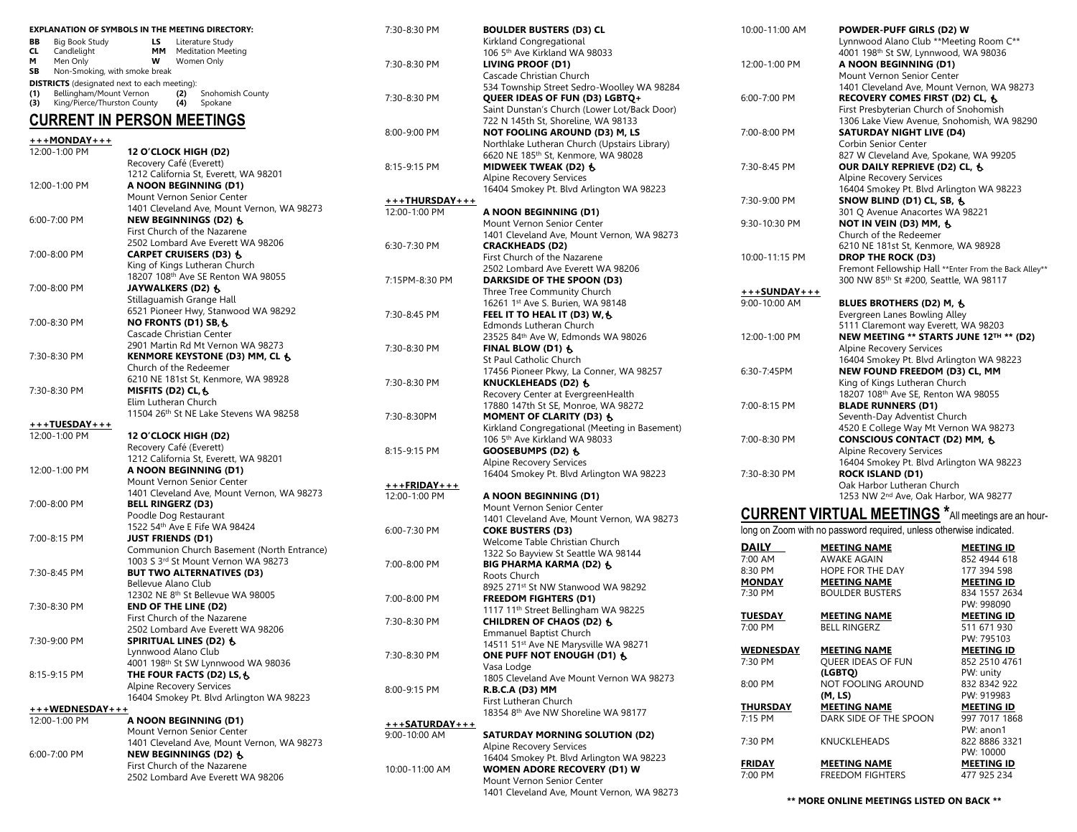|                                     | <b>EXPLANATION OF SYMBOLS IN THE MEETING DIRECTORY:</b>                  | $7:30-8:3$   |
|-------------------------------------|--------------------------------------------------------------------------|--------------|
| BВ<br>Big Book Study                | LS<br>Literature Study                                                   |              |
| CL.<br>Candlelight<br>м<br>Men Only | MМ<br><b>Meditation Meeting</b><br>W<br>Women Only                       |              |
| SB                                  | Non-Smoking, with smoke break                                            | $7:30-8:3$   |
|                                     | <b>DISTRICTS</b> (designated next to each meeting):                      |              |
| (1)                                 | Bellingham/Mount Vernon<br>Snohomish County<br>(2)                       | $7:30-8:3$   |
| (3)                                 | King/Pierce/Thurston County<br>(4)<br>Spokane                            |              |
|                                     | <b>CURRENT IN PERSON MEETINGS</b>                                        |              |
|                                     |                                                                          | $8:00 - 9:0$ |
| +++MONDAY+++<br>12:00-1:00 PM       | 12 O'CLOCK HIGH (D2)                                                     |              |
|                                     | Recovery Café (Everett)                                                  |              |
|                                     | 1212 California St, Everett, WA 98201                                    | $8:15-9:1$   |
| 12:00-1:00 PM                       | A NOON BEGINNING (D1)                                                    |              |
|                                     | Mount Vernon Senior Center                                               | +++TH        |
|                                     | 1401 Cleveland Ave, Mount Vernon, WA 98273                               | $12:00 - 1$  |
| 6:00-7:00 PM                        | NEW BEGINNINGS (D2) も                                                    |              |
|                                     | First Church of the Nazarene                                             |              |
|                                     | 2502 Lombard Ave Everett WA 98206                                        | $6:30 - 7:3$ |
| 7:00-8:00 PM                        | CARPET CRUISERS (D3) 6                                                   |              |
|                                     | King of Kings Lutheran Church                                            |              |
|                                     | 18207 108th Ave SE Renton WA 98055<br>JAYWALKERS (D2) 싱                  | 7:15PM-      |
| 7:00-8:00 PM                        | Stillaguamish Grange Hall                                                |              |
|                                     | 6521 Pioneer Hwy, Stanwood WA 98292                                      |              |
| 7:00-8:30 PM                        | <b>NO FRONTS (D1) SB, も</b>                                              | $7:30-8:4$   |
|                                     | Cascade Christian Center                                                 |              |
|                                     | 2901 Martin Rd Mt Vernon WA 98273                                        | 7:30-8:3     |
| 7:30-8:30 PM                        | KENMORE KEYSTONE (D3) MM, CL &                                           |              |
|                                     | Church of the Redeemer                                                   |              |
|                                     | 6210 NE 181st St, Kenmore, WA 98928                                      | $7:30-8:3$   |
| 7:30-8:30 PM                        | MISFITS (D2) CL, &                                                       |              |
|                                     | Elim Lutheran Church                                                     |              |
|                                     | 11504 26th St NE Lake Stevens WA 98258                                   | $7:30-8:3$   |
| 12:00-1:00 PM                       | 12 O'CLOCK HIGH (D2)                                                     |              |
|                                     | Recovery Café (Everett)                                                  |              |
|                                     | 1212 California St, Everett, WA 98201                                    | $8:15-9:1$   |
| 12:00-1:00 PM                       | A NOON BEGINNING (D1)                                                    |              |
|                                     | Mount Vernon Senior Center                                               | $+++FR$      |
|                                     | 1401 Cleveland Ave, Mount Vernon, WA 98273                               | $12:00 - 1$  |
| 7:00-8:00 PM                        | <b>BELL RINGERZ (D3)</b>                                                 |              |
|                                     | Poodle Dog Restaurant                                                    |              |
|                                     | 1522 54th Ave E Fife WA 98424                                            | $6:00 - 7:3$ |
| 7:00-8:15 PM                        | <b>JUST FRIENDS (D1)</b>                                                 |              |
|                                     | Communion Church Basement (North Entrance)                               |              |
|                                     | 1003 S 3rd St Mount Vernon WA 98273                                      | $7:00 - 8:0$ |
| 7:30-8:45 PM                        | <b>BUT TWO ALTERNATIVES (D3)</b><br>Bellevue Alano Club                  |              |
|                                     | 12302 NE 8th St Bellevue WA 98005                                        |              |
| 7:30-8:30 PM                        | <b>END OF THE LINE (D2)</b>                                              | $7:00 - 8:0$ |
|                                     | First Church of the Nazarene                                             |              |
|                                     | 2502 Lombard Ave Everett WA 98206                                        | $7:30-8:3$   |
| 7:30-9:00 PM                        | SPIRITUAL LINES (D2) &                                                   |              |
|                                     | Lynnwood Alano Club                                                      | $7:30-8:3$   |
|                                     | 4001 198 <sup>th</sup> St SW Lynnwood WA 98036                           |              |
| 8:15-9:15 PM                        | THE FOUR FACTS (D2) LS, &                                                |              |
|                                     | <b>Alpine Recovery Services</b>                                          | $8:00 - 9:1$ |
|                                     | 16404 Smokey Pt. Blvd Arlington WA 98223                                 |              |
|                                     |                                                                          |              |
| 12:00-1:00 PM                       | A NOON BEGINNING (D1)                                                    | <u>+++SA</u> |
|                                     | Mount Vernon Senior Center<br>1401 Cleveland Ave, Mount Vernon, WA 98273 | $9:00 - 10$  |
| 6:00-7:00 PM                        | NEW BEGINNINGS (D2) 승                                                    |              |
|                                     | First Church of the Nazarene                                             |              |
|                                     | 2502 Lombard Ave Everett WA 98206                                        | $10:00 - 1$  |
|                                     |                                                                          |              |

| 7:30-8:30 PM            | <b>BOULDER BUSTERS (D3) CL</b>                                                       |
|-------------------------|--------------------------------------------------------------------------------------|
|                         | Kirkland Congregational                                                              |
|                         | 106 5th Ave Kirkland WA 98033                                                        |
| 7:30-8:30 PM            | <b>LIVING PROOF (D1)</b>                                                             |
|                         | Cascade Christian Church                                                             |
|                         | 534 Township Street Sedro-Woolley WA 98284                                           |
| 7:30-8:30 PM            | QUEER IDEAS OF FUN (D3) LGBTQ+                                                       |
|                         | Saint Dunstan's Church (Lower Lot/Back Door)                                         |
|                         | 722 N 145th St, Shoreline, WA 98133                                                  |
| 8:00-9:00 PM            | <b>NOT FOOLING AROUND (D3) M, LS</b><br>Northlake Lutheran Church (Upstairs Library) |
|                         | 6620 NE 185th St, Kenmore, WA 98028                                                  |
| 8:15-9:15 PM            | MIDWEEK TWEAK (D2) も                                                                 |
|                         | <b>Alpine Recovery Services</b>                                                      |
|                         | 16404 Smokey Pt. Blvd Arlington WA 98223                                             |
| +++ <b>THURSDAY</b> +++ |                                                                                      |
| 12:00-1:00 PM           | A NOON BEGINNING (D1)                                                                |
|                         | Mount Vernon Senior Center                                                           |
|                         | 1401 Cleveland Ave, Mount Vernon, WA 98273                                           |
| 6:30-7:30 PM            | <b>CRACKHEADS (D2)</b>                                                               |
|                         | First Church of the Nazarene                                                         |
|                         | 2502 Lombard Ave Everett WA 98206                                                    |
| 7:15PM-8:30 PM          | DARKSIDE OF THE SPOON (D3)                                                           |
|                         | Three Tree Community Church                                                          |
|                         | 16261 1st Ave S. Burien, WA 98148                                                    |
| 7:30-8:45 PM            | FEEL IT TO HEAL IT (D3) W, &                                                         |
|                         | Edmonds Lutheran Church                                                              |
|                         | 23525 84th Ave W, Edmonds WA 98026                                                   |
| 7:30-8:30 PM            | FINAL BLOW (D1) &                                                                    |
|                         | St Paul Catholic Church                                                              |
|                         | 17456 Pioneer Pkwy, La Conner, WA 98257                                              |
| 7:30-8:30 PM            | KNUCKLEHEADS (D2) &                                                                  |
|                         | Recovery Center at EvergreenHealth<br>17880 147th St SE, Monroe, WA 98272            |
| 7:30-8:30PM             | MOMENT OF CLARITY (D3) &                                                             |
|                         | Kirkland Congregational (Meeting in Basement)                                        |
|                         | 106 5 <sup>th</sup> Ave Kirkland WA 98033                                            |
| 8:15-9:15 PM            | GOOSEBUMPS (D2) 6                                                                    |
|                         | <b>Alpine Recovery Services</b>                                                      |
|                         | 16404 Smokey Pt. Blvd Arlington WA 98223                                             |
| <u>+++FRIDAY+++</u>     |                                                                                      |
| 12:00-1:00 PM           | A NOON BEGINNING (D1)                                                                |
|                         | Mount Vernon Senior Center                                                           |
|                         | 1401 Cleveland Ave, Mount Vernon, WA 98273                                           |
| 6:00-7:30 PM            | <b>COKE BUSTERS (D3)</b>                                                             |
|                         | Welcome Table Christian Church                                                       |
|                         | 1322 So Bayview St Seattle WA 98144                                                  |
| 7:00-8:00 PM            | BIG PHARMA KARMA (D2) 6                                                              |
|                         | Roots Church                                                                         |
|                         | 8925 271st St NW Stanwood WA 98292                                                   |
| 7:00-8:00 PM            | <b>FREEDOM FIGHTERS (D1)</b>                                                         |
|                         | 1117 11 <sup>th</sup> Street Bellingham WA 98225                                     |
| 7:30-8:30 PM            | CHILDREN OF CHAOS (D2) &                                                             |
|                         | Emmanuel Baptist Church<br>14511 51 <sup>st</sup> Ave NE Marysville WA 98271         |
| 7:30-8:30 PM            | ONE PUFF NOT ENOUGH (D1) &                                                           |
|                         | Vasa Lodge                                                                           |
|                         | 1805 Cleveland Ave Mount Vernon WA 98273                                             |
| 8:00-9:15 PM            | R.B.C.A (D3) MM                                                                      |
|                         | First Lutheran Church                                                                |
|                         | 18354 8th Ave NW Shoreline WA 98177                                                  |
| <u>+++SATURDAY+++</u>   |                                                                                      |
| 9:00-10:00 AM           | <b>SATURDAY MORNING SOLUTION (D2)</b>                                                |
|                         | <b>Alpine Recovery Services</b>                                                      |
|                         | 16404 Smokey Pt. Blvd Arlington WA 98223                                             |
| 10:00-11:00 AM          | WOMEN ADORE RECOVERY (D1) W                                                          |
|                         | Mount Vernon Senior Center                                                           |
|                         | 1401 Cleveland Ave, Mount Vernon, WA 98273                                           |

| 10:00-11:00 AM   | POWDER-PUFF GIRLS (D2) W<br>Lynnwood Alano Club **Meeting Room C**    |
|------------------|-----------------------------------------------------------------------|
|                  | 4001 198th St SW, Lynnwood, WA 98036                                  |
| 12:00-1:00 PM    | A NOON BEGINNING (D1)                                                 |
|                  | Mount Vernon Senior Center                                            |
|                  | 1401 Cleveland Ave, Mount Vernon, WA 98273                            |
| $6:00 - 7:00$ PM | RECOVERY COMES FIRST (D2) CL, &                                       |
|                  | First Presbyterian Church of Snohomish                                |
|                  | 1306 Lake View Avenue, Snohomish, WA 98290                            |
| 7:00-8:00 PM     | <b>SATURDAY NIGHT LIVE (D4)</b>                                       |
|                  | Corbin Senior Center                                                  |
|                  | 827 W Cleveland Ave, Spokane, WA 99205                                |
| 7:30-8:45 PM     | OUR DAILY REPRIEVE (D2) CL, &                                         |
|                  | <b>Alpine Recovery Services</b>                                       |
|                  | 16404 Smokey Pt. Blvd Arlington WA 98223                              |
| 7:30-9:00 PM     | SNOW BLIND (D1) CL, SB, &                                             |
|                  | 301 Q Avenue Anacortes WA 98221                                       |
| 9:30-10:30 PM    | <b>NOT IN VEIN (D3) MM, も</b>                                         |
|                  | Church of the Redeemer                                                |
|                  | 6210 NE 181st St, Kenmore, WA 98928                                   |
| 10:00-11:15 PM   | <b>DROP THE ROCK (D3)</b>                                             |
|                  | Fremont Fellowship Hall ** Enter From the Back Alley**                |
|                  | 300 NW 85th St #200, Seattle, WA 98117                                |
| +++SUNDAY+++     |                                                                       |
| 9:00-10:00 AM    | BLUES BROTHERS (D2) M, &                                              |
|                  | Evergreen Lanes Bowling Alley<br>5111 Claremont way Everett, WA 98203 |
| 12:00-1:00 PM    | NEW MEETING ** STARTS JUNE 12TH ** (D2)                               |
|                  | <b>Alpine Recovery Services</b>                                       |
|                  | 16404 Smokey Pt. Blvd Arlington WA 98223                              |
| 6:30-7:45PM      | NEW FOUND FREEDOM (D3) CL, MM                                         |
|                  | King of Kings Lutheran Church                                         |
|                  | 18207 108th Ave SE, Renton WA 98055                                   |
| 7:00-8:15 PM     | <b>BLADE RUNNERS (D1)</b>                                             |
|                  | Seventh-Day Adventist Church                                          |
|                  | 4520 E College Way Mt Vernon WA 98273                                 |
| 7:00-8:30 PM     | CONSCIOUS CONTACT (D2) MM, 6                                          |
|                  | Alpine Recovery Services                                              |
|                  | 16404 Smokey Pt. Blvd Arlington WA 98223                              |
| 7:30-8:30 PM     | <b>ROCK ISLAND (D1)</b>                                               |
|                  | Oak Harbor Lutheran Church                                            |
|                  | 1253 NW 2nd Ave, Oak Harbor, WA 98277                                 |
|                  |                                                                       |
|                  | <b>CURRENT VIRTUAL MEETINGS</b> *All meetings are an hour-            |
|                  | long on Zoom with no password required, unless otherwise indicated.   |

| DAILY         | <b>MEETING NAME</b>       | <b>MEETING ID</b> |
|---------------|---------------------------|-------------------|
| 7:00 AM       | <b>AWAKE AGAIN</b>        | 852 4944 618      |
| 8:30 PM       | <b>HOPE FOR THE DAY</b>   | 177 394 598       |
| <u>MONDAY</u> | <b>MEETING NAME</b>       | <b>MEETING ID</b> |
| 7:30 PM       | <b>BOULDER BUSTERS</b>    | 834 1557 2634     |
|               |                           | PW: 998090        |
| TUESDAY       | MEETING NAME              | <b>MEETING ID</b> |
| 7:00 PM       | <b>BELL RINGERZ</b>       | 511 671 930       |
|               |                           | PW: 795103        |
| WEDNESDAY     | <b>MEETING NAME</b>       | <b>MEETING ID</b> |
| 7:30 PM       | <b>OUEER IDEAS OF FUN</b> | 852 2510 4761     |
|               | (LGBTQ)                   | PW: unity         |
| 8:00 PM       | NOT FOOLING AROUND        | 832 8342 922      |
|               | (M, LS)                   | PW: 919983        |
| THURSDAY      | <b>MEETING NAME</b>       | <b>MEETING ID</b> |
| 7:15 PM       | DARK SIDE OF THE SPOON    | 997 7017 1868     |
|               |                           | PW: anon1         |
| 7:30 PM       | <b>KNUCKLEHEADS</b>       | 822 8886 3321     |
|               |                           | PW: 10000         |
| FRIDAY        | <b>MEETING NAME</b>       | <b>MEETING ID</b> |
| 7:00 PM       | FREEDOM FIGHTERS          | 477 925 234       |

**\*\* MORE ONLINE MEETINGS LISTED ON BACK \*\***